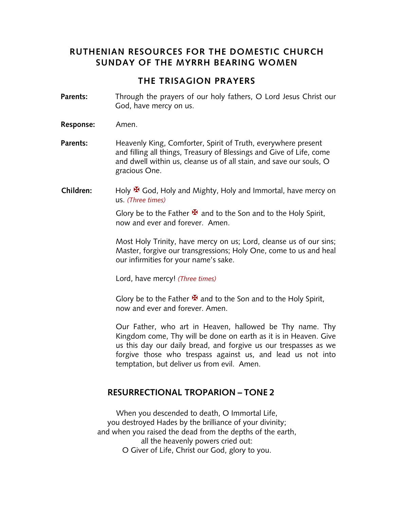## **RUTHENIAN RESOURCES FOR THE DOMESTIC CHURCH SUNDAY OF THE MYRRH BEARING WOMEN**

## **THE TRISAGION PRAYERS**

- **Parents:** Through the prayers of our holy fathers, O Lord Jesus Christ our God, have mercy on us.
- **Response:** Amen.
- **Parents:** Heavenly King, Comforter, Spirit of Truth, everywhere present and filling all things, Treasury of Blessings and Give of Life, come and dwell within us, cleanse us of all stain, and save our souls, O gracious One.
- **Children:** Holy <sup>★</sup> God, Holy and Mighty, Holy and Immortal, have mercy on us. *(Three times)*

Glory be to the Father  $\mathbf{\mathbf{\mathbf{\mathsf{F}}} }$  and to the Son and to the Holy Spirit, now and ever and forever. Amen.

Most Holy Trinity, have mercy on us; Lord, cleanse us of our sins; Master, forgive our transgressions; Holy One, come to us and heal our infirmities for your name's sake.

Lord, have mercy! *(Three times)*

Glory be to the Father  $\mathbf{\Sigma}$  and to the Son and to the Holy Spirit, now and ever and forever. Amen.

Our Father, who art in Heaven, hallowed be Thy name. Thy Kingdom come, Thy will be done on earth as it is in Heaven. Give us this day our daily bread, and forgive us our trespasses as we forgive those who trespass against us, and lead us not into temptation, but deliver us from evil. Amen.

#### **RESURRECTIONAL TROPARION – TONE 2**

When you descended to death, O Immortal Life, you destroyed Hades by the brilliance of your divinity; and when you raised the dead from the depths of the earth, all the heavenly powers cried out: O Giver of Life, Christ our God, glory to you.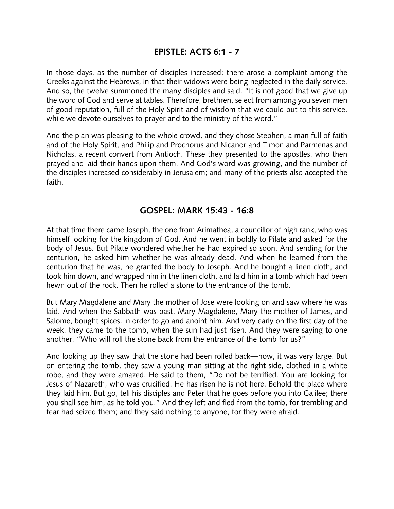## **EPISTLE: ACTS 6:1 - 7**

In those days, as the number of disciples increased; there arose a complaint among the Greeks against the Hebrews, in that their widows were being neglected in the daily service. And so, the twelve summoned the many disciples and said, "It is not good that we give up the word of God and serve at tables. Therefore, brethren, select from among you seven men of good reputation, full of the Holy Spirit and of wisdom that we could put to this service, while we devote ourselves to prayer and to the ministry of the word."

And the plan was pleasing to the whole crowd, and they chose Stephen, a man full of faith and of the Holy Spirit, and Philip and Prochorus and Nicanor and Timon and Parmenas and Nicholas, a recent convert from Antioch. These they presented to the apostles, who then prayed and laid their hands upon them. And God's word was growing, and the number of the disciples increased considerably in Jerusalem; and many of the priests also accepted the faith.

### **GOSPEL: MARK 15:43 - 16:8**

At that time there came Joseph, the one from Arimathea, a councillor of high rank, who was himself looking for the kingdom of God. And he went in boldly to Pilate and asked for the body of Jesus. But Pilate wondered whether he had expired so soon. And sending for the centurion, he asked him whether he was already dead. And when he learned from the centurion that he was, he granted the body to Joseph. And he bought a linen cloth, and took him down, and wrapped him in the linen cloth, and laid him in a tomb which had been hewn out of the rock. Then he rolled a stone to the entrance of the tomb.

But Mary Magdalene and Mary the mother of Jose were looking on and saw where he was laid. And when the Sabbath was past, Mary Magdalene, Mary the mother of James, and Salome, bought spices, in order to go and anoint him. And very early on the first day of the week, they came to the tomb, when the sun had just risen. And they were saying to one another, "Who will roll the stone back from the entrance of the tomb for us?"

And looking up they saw that the stone had been rolled back—now, it was very large. But on entering the tomb, they saw a young man sitting at the right side, clothed in a white robe, and they were amazed. He said to them, "Do not be terrified. You are looking for Jesus of Nazareth, who was crucified. He has risen he is not here. Behold the place where they laid him. But go, tell his disciples and Peter that he goes before you into Galilee; there you shall see him, as he told you." And they left and fled from the tomb, for trembling and fear had seized them; and they said nothing to anyone, for they were afraid.